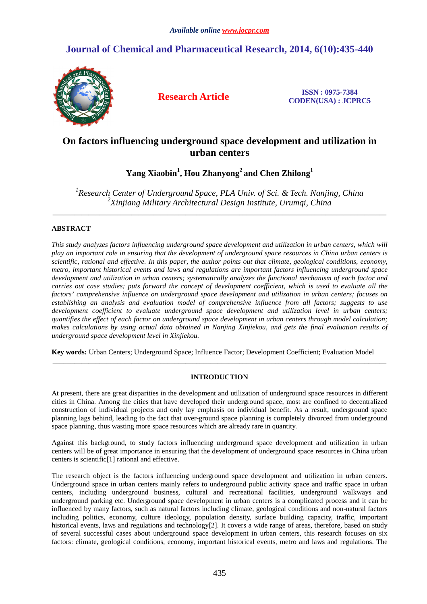# **Journal of Chemical and Pharmaceutical Research, 2014, 6(10):435-440**



**Research Article ISSN : 0975-7384 CODEN(USA) : JCPRC5**

## **On factors influencing underground space development and utilization in urban centers**

# **Yang Xiaobin<sup>1</sup> , Hou Zhanyong<sup>2</sup>and Chen Zhilong<sup>1</sup>**

<sup>1</sup> Research Center of Underground Space, PLA Univ. of Sci. & Tech. Nanjing, China *2 Xinjiang Military Architectural Design Institute, Urumqi, China* 

\_\_\_\_\_\_\_\_\_\_\_\_\_\_\_\_\_\_\_\_\_\_\_\_\_\_\_\_\_\_\_\_\_\_\_\_\_\_\_\_\_\_\_\_\_\_\_\_\_\_\_\_\_\_\_\_\_\_\_\_\_\_\_\_\_\_\_\_\_\_\_\_\_\_\_\_\_\_\_\_\_\_\_\_\_\_\_\_\_\_\_\_\_

## **ABSTRACT**

*This study analyzes factors influencing underground space development and utilization in urban centers, which will play an important role in ensuring that the development of underground space resources in China urban centers is scientific, rational and effective. In this paper, the author points out that climate, geological conditions, economy, metro, important historical events and laws and regulations are important factors influencing underground space development and utilization in urban centers; systematically analyzes the functional mechanism of each factor and carries out case studies; puts forward the concept of development coefficient, which is used to evaluate all the factors' comprehensive influence on underground space development and utilization in urban centers; focuses on establishing an analysis and evaluation model of comprehensive influence from all factors; suggests to use development coefficient to evaluate underground space development and utilization level in urban centers; quantifies the effect of each factor on underground space development in urban centers through model calculation; makes calculations by using actual data obtained in Nanjing Xinjiekou, and gets the final evaluation results of underground space development level in Xinjiekou.* 

**Key words:** Urban Centers; Underground Space; Influence Factor; Development Coefficient; Evaluation Model

## **INTRODUCTION**

\_\_\_\_\_\_\_\_\_\_\_\_\_\_\_\_\_\_\_\_\_\_\_\_\_\_\_\_\_\_\_\_\_\_\_\_\_\_\_\_\_\_\_\_\_\_\_\_\_\_\_\_\_\_\_\_\_\_\_\_\_\_\_\_\_\_\_\_\_\_\_\_\_\_\_\_\_\_\_\_\_\_\_\_\_\_\_\_\_\_\_\_\_

At present, there are great disparities in the development and utilization of underground space resources in different cities in China. Among the cities that have developed their underground space, most are confined to decentralized construction of individual projects and only lay emphasis on individual benefit. As a result, underground space planning lags behind, leading to the fact that over-ground space planning is completely divorced from underground space planning, thus wasting more space resources which are already rare in quantity.

Against this background, to study factors influencing underground space development and utilization in urban centers will be of great importance in ensuring that the development of underground space resources in China urban centers is scientific[1] rational and effective.

The research object is the factors influencing underground space development and utilization in urban centers. Underground space in urban centers mainly refers to underground public activity space and traffic space in urban centers, including underground business, cultural and recreational facilities, underground walkways and underground parking etc. Underground space development in urban centers is a complicated process and it can be influenced by many factors, such as natural factors including climate, geological conditions and non-natural factors including politics, economy, culture ideology, population density, surface building capacity, traffic, important historical events, laws and regulations and technology<sup>[2]</sup>. It covers a wide range of areas, therefore, based on study of several successful cases about underground space development in urban centers, this research focuses on six factors: climate, geological conditions, economy, important historical events, metro and laws and regulations. The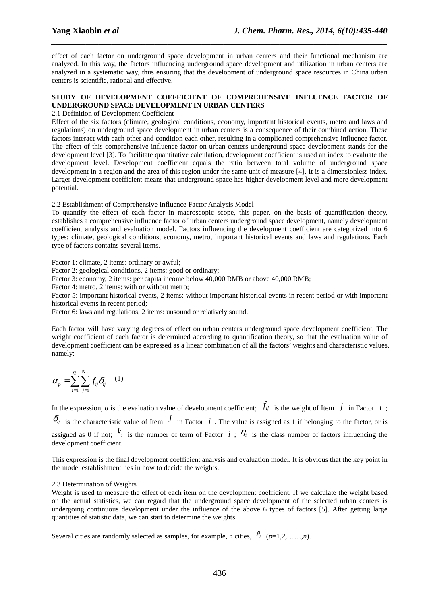effect of each factor on underground space development in urban centers and their functional mechanism are analyzed. In this way, the factors influencing underground space development and utilization in urban centers are analyzed in a systematic way, thus ensuring that the development of underground space resources in China urban centers is scientific, rational and effective.

*\_\_\_\_\_\_\_\_\_\_\_\_\_\_\_\_\_\_\_\_\_\_\_\_\_\_\_\_\_\_\_\_\_\_\_\_\_\_\_\_\_\_\_\_\_\_\_\_\_\_\_\_\_\_\_\_\_\_\_\_\_\_\_\_\_\_\_\_\_\_\_\_\_\_\_\_\_\_*

## **STUDY OF DEVELOPMENT COEFFICIENT OF COMPREHENSIVE INFLUENCE FACTOR OF UNDERGROUND SPACE DEVELOPMENT IN URBAN CENTERS**

### 2.1 Definition of Development Coefficient

Effect of the six factors (climate, geological conditions, economy, important historical events, metro and laws and regulations) on underground space development in urban centers is a consequence of their combined action. These factors interact with each other and condition each other, resulting in a complicated comprehensive influence factor. The effect of this comprehensive influence factor on urban centers underground space development stands for the development level [3]. To facilitate quantitative calculation, development coefficient is used an index to evaluate the development level. Development coefficient equals the ratio between total volume of underground space development in a region and the area of this region under the same unit of measure [4]. It is a dimensionless index. Larger development coefficient means that underground space has higher development level and more development potential.

2.2 Establishment of Comprehensive Influence Factor Analysis Model

To quantify the effect of each factor in macroscopic scope, this paper, on the basis of quantification theory, establishes a comprehensive influence factor of urban centers underground space development, namely development coefficient analysis and evaluation model. Factors influencing the development coefficient are categorized into 6 types: climate, geological conditions, economy, metro, important historical events and laws and regulations. Each type of factors contains several items.

Factor 1: climate, 2 items: ordinary or awful;

Factor 2: geological conditions, 2 items: good or ordinary;

Factor 3: economy, 2 items: per capita income below 40,000 RMB or above 40,000 RMB;

Factor 4: metro, 2 items: with or without metro;

Factor 5: important historical events, 2 items: without important historical events in recent period or with important historical events in recent period;

Factor 6: laws and regulations, 2 items: unsound or relatively sound.

Each factor will have varying degrees of effect on urban centers underground space development coefficient. The weight coefficient of each factor is determined according to quantification theory, so that the evaluation value of development coefficient can be expressed as a linear combination of all the factors' weights and characteristic values, namely:

$$
\alpha_p = \sum_{i=1}^{\eta_i} \sum_{j=1}^{K_j} f_{ij} \delta_{ij} \quad (1)
$$

In the expression,  $\alpha$  is the evaluation value of development coefficient;  $f_{ij}$  is the weight of Item  $j$  in Factor  $i$ ;  $\delta_{ij}$  is the characteristic value of Item  $j$  in Factor  $i$ . The value is assigned as 1 if belonging to the factor, or is assigned as 0 if not;  $k_i$  is the number of term of Factor *i*;  $\eta_i$  is the class number of factors influencing the development coefficient.

This expression is the final development coefficient analysis and evaluation model. It is obvious that the key point in the model establishment lies in how to decide the weights.

### 2.3 Determination of Weights

Weight is used to measure the effect of each item on the development coefficient. If we calculate the weight based on the actual statistics, we can regard that the underground space development of the selected urban centers is undergoing continuous development under the influence of the above 6 types of factors [5]. After getting large quantities of statistic data, we can start to determine the weights.

Several cities are randomly selected as samples, for example, *n* cities,  $\beta_{\nu}$  ( $p=1,2,...,n$ ).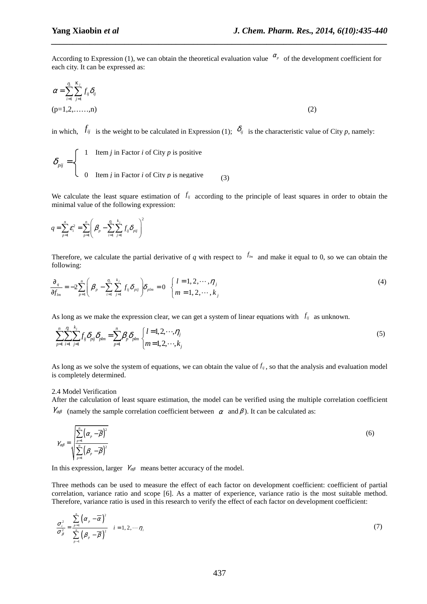According to Expression (1), we can obtain the theoretical evaluation value  $\alpha_p$  of the development coefficient for each city. It can be expressed as:

*\_\_\_\_\_\_\_\_\_\_\_\_\_\_\_\_\_\_\_\_\_\_\_\_\_\_\_\_\_\_\_\_\_\_\_\_\_\_\_\_\_\_\_\_\_\_\_\_\_\_\_\_\_\_\_\_\_\_\_\_\_\_\_\_\_\_\_\_\_\_\_\_\_\_\_\_\_\_*

$$
\alpha = \sum_{i=1}^{\eta_i} \sum_{j=1}^{K_j} f_{ij} \delta_{ij}
$$
  
(p=1,2,......,n) (2)

in which,  $f_{ij}$  is the weight to be calculated in Expression (1);  $\delta_{ij}$  is the characteristic value of City *p*, namely:

$$
\delta_{pi} = \begin{cases}\n1 & \text{Item } j \text{ in Factor } i \text{ of City } p \text{ is positive} \\
0 & \text{Item } j \text{ in Factor } i \text{ of City } p \text{ is negative}\n\end{cases}
$$
\n(3)

We calculate the least square estimation of  $f_{ij}$  according to the principle of least squares in order to obtain the minimal value of the following expression:

$$
q = \sum_{p=1}^{n} \mathcal{E}_{i}^{2} = \sum_{p=1}^{n} \left( \beta_{p} - \sum_{i=1}^{n} \sum_{j=1}^{k_{j}} f_{ij} \delta_{pij} \right)^{2}
$$

Therefore, we calculate the partial derivative of *q* with respect to  $f_{lm}$  and make it equal to 0, so we can obtain the following:

$$
\frac{\partial_{q}}{\partial f_{lm}} = -2 \sum_{p=1}^{n} \left( \beta_p - \sum_{i=1}^{n} \sum_{j=1}^{k_j} f_{ij} \delta_{pi} \right) \delta_{plm} = 0 \quad \begin{cases} l = 1, 2, \cdots, n_j \\ m = 1, 2, \cdots, k_j \end{cases}
$$
(4)

As long as we make the expression clear, we can get a system of linear equations with  $f_{ij}$  as unknown.

$$
\sum_{p=1}^{n} \sum_{i=1}^{n} \sum_{j=1}^{k_j} f_{ij} \delta_{pij} \delta_{plm} = \sum_{p=1}^{n} \beta_p \delta_{plm} \begin{cases} l=1,2,\cdots,\eta_j \\ m=1,2,\cdots,k_j \end{cases} (5)
$$

As long as we solve the system of equations, we can obtain the value of  $f_{ij}$ , so that the analysis and evaluation model is completely determined.

#### 2.4 Model Verification

After the calculation of least square estimation, the model can be verified using the multiple correlation coefficient  $\gamma_{\alpha\beta}$  (namely the sample correlation coefficient between  $\alpha$  and  $\beta$ ). It can be calculated as:

$$
\gamma_{\alpha\beta} = \sqrt{\sum_{p=1}^{n} (\alpha_p - \overline{\beta})^2 \over \sum_{p=1}^{n} (\beta_p - \overline{\beta})^2}
$$
\n(6)

In this expression, larger  $\gamma_{\alpha\beta}$  means better accuracy of the model.

Three methods can be used to measure the effect of each factor on development coefficient: coefficient of partial correlation, variance ratio and scope [6]. As a matter of experience, variance ratio is the most suitable method. Therefore, variance ratio is used in this research to verify the effect of each factor on development coefficient:

$$
\frac{\sigma_i^2}{\sigma_\beta^2} = \frac{\sum_{p=1}^n (\alpha_p - \overline{\alpha})^2}{\sum_{p=1}^n (\beta_p - \overline{\beta})^2} \quad i = 1, 2, \cdots \eta_i
$$
\n(7)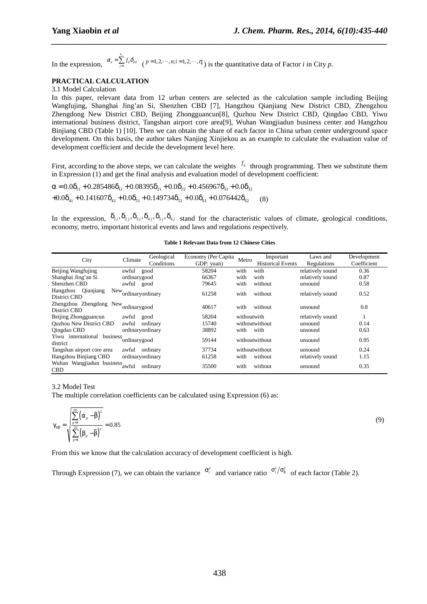In the expression,  $\alpha_p - \frac{1}{1-1}$ *j k*  $\alpha_p = \sum_{j=1}^{n} f_{ij} \delta_{pi}$  (*p*=1,2,…,*n*;*i*=1,2,…,*n*<sub>i</sub>) is the quantitative data of Factor *i* in City *p*.

### **PRACTICAL CALCULATION**

#### 3.1 Model Calculation

In this paper, relevant data from 12 urban centers are selected as the calculation sample including Beijing Wangfujing, Shanghai Jing'an Si, Shenzhen CBD [7], Hangzhou Qianjiang New District CBD, Zhengzhou Zhengdong New District CBD, Beijing Zhongguancun[8], Quzhou New District CBD, Qingdao CBD, Yiwu international business district, Tangshan airport core area[9], Wuhan Wangjiadun business center and Hangzhou Binjiang CBD (Table 1) [10]. Then we can obtain the share of each factor in China urban center underground space development. On this basis, the author takes Nanjing Xinjiekou as an example to calculate the evaluation value of development coefficient and decide the development level here.

*\_\_\_\_\_\_\_\_\_\_\_\_\_\_\_\_\_\_\_\_\_\_\_\_\_\_\_\_\_\_\_\_\_\_\_\_\_\_\_\_\_\_\_\_\_\_\_\_\_\_\_\_\_\_\_\_\_\_\_\_\_\_\_\_\_\_\_\_\_\_\_\_\_\_\_\_\_\_*

First, according to the above steps, we can calculate the weights  $f_{ij}$  through programming. Then we substitute them in Expression (1) and get the final analysis and evaluation model of development coefficient:

(8)  $\alpha = 0.0\delta_{11} + 0.285486\delta_{12} + 0.08395\delta_{21} + 0.0\delta_{22} + 0.456967\delta_{31} + 0.0\delta_{32}$  $+0.0\delta_{41} + 0.141607\delta_{42} + 0.0\delta_{51} + 0.149734\delta_{52} + 0.0\delta_{61} + 0.076442\delta_{62}$ 

In the expression,  $\delta_{1j}, \delta_{2j}, \delta_{3j}, \delta_{4j}, \delta_{5j}, \delta_{6j}$  stand for the characteristic values of climate, geological conditions, economy, metro, important historical events and laws and regulations respectively.

| City                                                 | Climate          | Geological | Economy (Per Capita | Metro       | Important                | Laws and         | Development |
|------------------------------------------------------|------------------|------------|---------------------|-------------|--------------------------|------------------|-------------|
|                                                      |                  | Conditions | GDP: yuan)          |             | <b>Historical Events</b> | Regulations      | Coefficient |
| Beijing Wangfujing                                   | awful            | good       | 58204               | with        | with                     | relatively sound | 0.36        |
| Shanghai Jing'an Si                                  | ordinarygood     |            | 66367               | with        | with                     | relatively sound | 0.87        |
| Shenzhen CBD                                         | awful good       |            | 79645               | with        | without                  | unsound          | 0.58        |
| Qianjiang<br>Hangzhou<br><b>New</b><br>District CBD  | ordinaryordinary |            | 61258               | with        | without                  | relatively sound | 0.52        |
| Zhengzhou Zhengdong New ordinarygood<br>District CBD |                  |            | 40617               | with        | without                  | unsound          | 0.8         |
| Beijing Zhongguancun                                 | awful            | good       | 58204               | withoutwith |                          | relatively sound |             |
| <b>Ouzhou New District CBD</b>                       | awful            | ordinary   | 15740               |             | withoutwithout           | unsound          | 0.14        |
| Qingdao CBD                                          | ordinaryordinary |            | 38892               | with        | with                     | unsound          | 0.63        |
| Yiwu international<br>business<br>district           | 'ordinarygood    |            | 59144               |             | withoutwithout           | unsound          | 0.95        |
| Tangshan airport core area                           | awful            | ordinary   | 37734               |             | withoutwithout           | unsound          | 0.24        |
| Hangzhou Binjiang CBD                                | ordinaryordinary |            | 61258               | with        | without                  | relatively sound | 1.15        |
| Wuhan Wangjiadun business awful<br><b>CBD</b>        |                  | ordinary   | 35500               | with        | without                  | unsound          | 0.35        |

(9)

#### **Table 1 Relevant Data from 12 Chinese Cities**

#### 3.2 Model Test

The multiple correlation coefficients can be calculated using Expression (6) as:

$$
\gamma_{\alpha\beta} = \sqrt{\frac{\sum_{p=1}^{20} (\alpha_p - \overline{\beta})^2}{\sum_{p=1}^{20} (\beta_p - \overline{\beta})^2}} = 0.85
$$

From this we know that the calculation accuracy of development coefficient is high.

Through Expression (7), we can obtain the variance  $\sigma_i^2$  and variance ratio  $\sigma_i^2/\sigma_\beta^2$  of each factor (Table 2).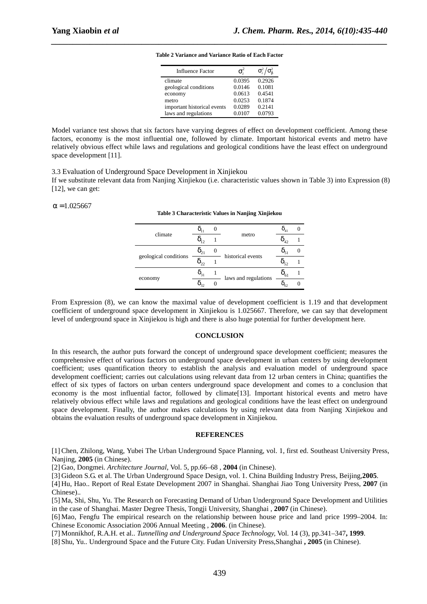| <b>Influence Factor</b>     | $\sigma^2$ | $\sigma_i^2/\sigma_{\rm B}^2$ |
|-----------------------------|------------|-------------------------------|
| climate                     | 0.0395     | 0.2926                        |
| geological conditions       | 0.0146     | 0.1081                        |
| economy                     | 0.0613     | 0.4541                        |
| metro                       | 0.0253     | 0.1874                        |
| important historical events | 0.0289     | 0.2141                        |
| laws and regulations        | 0.0107     | 0.0793                        |

*\_\_\_\_\_\_\_\_\_\_\_\_\_\_\_\_\_\_\_\_\_\_\_\_\_\_\_\_\_\_\_\_\_\_\_\_\_\_\_\_\_\_\_\_\_\_\_\_\_\_\_\_\_\_\_\_\_\_\_\_\_\_\_\_\_\_\_\_\_\_\_\_\_\_\_\_\_\_* **Table 2 Variance and Variance Ratio of Each Factor** 

Model variance test shows that six factors have varying degrees of effect on development coefficient. Among these factors, economy is the most influential one, followed by climate. Important historical events and metro have relatively obvious effect while laws and regulations and geological conditions have the least effect on underground space development [11].

3.3 Evaluation of Underground Space Development in Xinjiekou

If we substitute relevant data from Nanjing Xinjiekou (i.e. characteristic values shown in Table 3) into Expression (8) [12], we can get:

**Table 3 Characteristic Values in Nanjing Xinjiekou** 

 $α = 1.025667$ 

|                       |                   |                      | $O_{41}$          |  |
|-----------------------|-------------------|----------------------|-------------------|--|
| climate               |                   | metro                | $\Delta$          |  |
|                       |                   | historical events    |                   |  |
| geological conditions |                   |                      |                   |  |
|                       | $\mathsf{0}_{31}$ | laws and regulations | $\mathsf{u}_{61}$ |  |
| economy               |                   |                      | 62                |  |

From Expression (8), we can know the maximal value of development coefficient is 1.19 and that development coefficient of underground space development in Xinjiekou is 1.025667. Therefore, we can say that development level of underground space in Xinjiekou is high and there is also huge potential for further development here.

#### **CONCLUSION**

In this research, the author puts forward the concept of underground space development coefficient; measures the comprehensive effect of various factors on underground space development in urban centers by using development coefficient; uses quantification theory to establish the analysis and evaluation model of underground space development coefficient; carries out calculations using relevant data from 12 urban centers in China; quantifies the effect of six types of factors on urban centers underground space development and comes to a conclusion that economy is the most influential factor, followed by climate[13]. Important historical events and metro have relatively obvious effect while laws and regulations and geological conditions have the least effect on underground space development. Finally, the author makes calculations by using relevant data from Nanjing Xinjiekou and obtains the evaluation results of underground space development in Xinjiekou.

#### **REFERENCES**

[1] Chen, Zhilong, Wang, Yubei The Urban Underground Space Planning, vol. 1, first ed. Southeast University Press, Nanjing, **2005** (in Chinese).

[2] Gao, Dongmei. *Architecture Journal*, Vol. 5, pp.66–68 , **2004** (in Chinese).

[3] Gideon S.G. et al. The Urban Underground Space Design, vol. 1. China Building Industry Press, Beijing,**2005**.

[4] Hu, Hao.. Report of Real Estate Development 2007 in Shanghai. Shanghai Jiao Tong University Press, **2007** (in Chinese)..

[5] Ma, Shi, Shu, Yu. The Research on Forecasting Demand of Urban Underground Space Development and Utilities in the case of Shanghai. Master Degree Thesis, Tongji University, Shanghai , **2007** (in Chinese).

[6] Mao, Fengfu The empirical research on the relationship between house price and land price 1999–2004. In: Chinese Economic Association 2006 Annual Meeting , **2006**. (in Chinese).

[7] Monnikhof, R.A.H. et al.. *Tunnelling and Underground Space Technology,* Vol. 14 (3), pp.341–347**, 1999**.

[8] Shu, Yu.. Underground Space and the Future City. Fudan University Press,Shanghai **, 2005** (in Chinese).